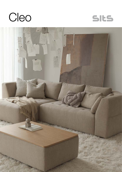



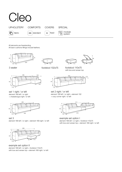

All elements are freestanding.

All back cushions fillings include feathers.







96

3 seater footstool 102x75

with box and veneer top footstool 110x75



set 1 right / or left element 168 left / or right + chaiselongue right / or left



#### set 3

element 168 left / or right + element 168 right / or left



example set option II element 168 left / or right + footstool 110x75 with box and veneer top + element 168 right / or left



set 2 right / or left element 128 left / or right + element 102 + cozy corner right / or left



example set option I element 168 left / or right + footstool 110x75 with box and veneer top + element 168 right / or left